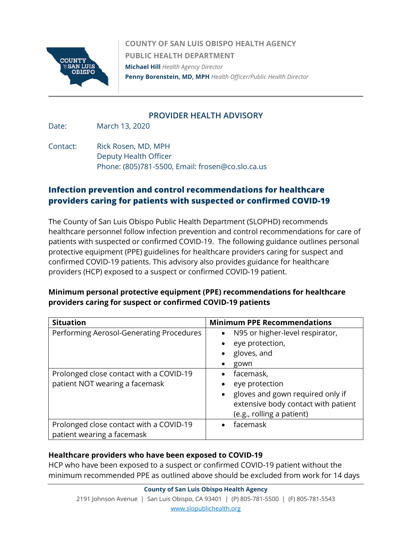

**COUNTY OF SAN LUIS OBISPO HEALTH AGENCY PUBLIC HEALTH DEPARTMENT Michael Hill** *Health Agency Director*  **Penny Borenstein, MD, MPH** *Health Officer/Public Health Director*

## **PROVIDER HEALTH ADVISORY**

Date: March 13, 2020

Contact: Rick Rosen, MD, MPH Deputy Health Officer Phone: (805)781-5500, Email: frosen@co.slo.ca.us

# **Infection prevention and control recommendations for healthcare providers caring for patients with suspected or confirmed COVID-19**

The County of San Luis Obispo Public Health Department (SLOPHD) recommends healthcare personnel follow infection prevention and control recommendations for care of patients with suspected or confirmed COVID-19. The following guidance outlines personal protective equipment (PPE) guidelines for healthcare providers caring for suspect and confirmed COVID-19 patients. This advisory also provides guidance for healthcare providers (HCP) exposed to a suspect or confirmed COVID-19 patient.

# **Minimum personal protective equipment (PPE) recommendations for healthcare providers caring for suspect or confirmed COVID-19 patients**

| <b>Situation</b>                         | <b>Minimum PPE Recommendations</b>           |
|------------------------------------------|----------------------------------------------|
| Performing Aerosol-Generating Procedures | N95 or higher-level respirator,<br>$\bullet$ |
|                                          | eye protection,<br>$\bullet$                 |
|                                          | gloves, and<br>$\bullet$                     |
|                                          | gown                                         |
| Prolonged close contact with a COVID-19  | facemask,<br>$\bullet$                       |
| patient NOT wearing a facemask           | eye protection<br>$\bullet$                  |
|                                          | • gloves and gown required only if           |
|                                          | extensive body contact with patient          |
|                                          | (e.g., rolling a patient)                    |
| Prolonged close contact with a COVID-19  | facemask<br>$\bullet$                        |
| patient wearing a facemask               |                                              |

## **Healthcare providers who have been exposed to COVID-19**

HCP who have been exposed to a suspect or confirmed COVID-19 patient without the minimum recommended PPE as outlined above should be excluded from work for 14 days